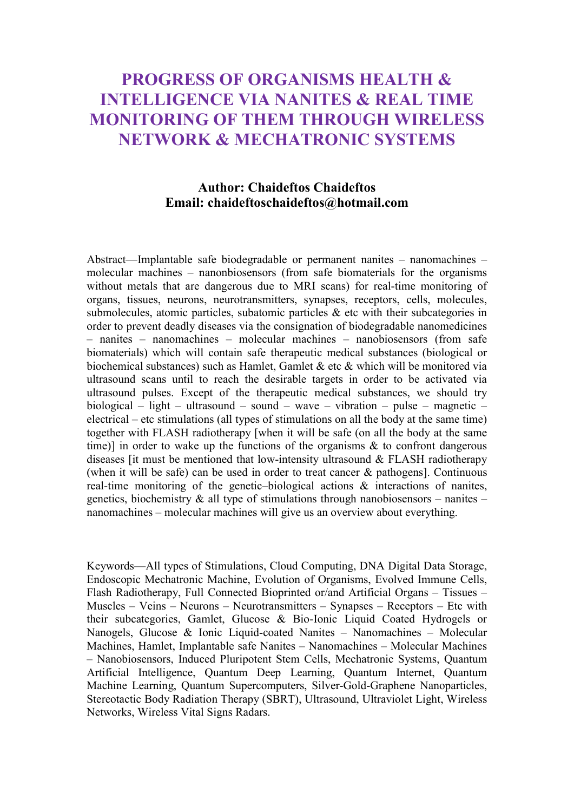# PROGRESS OF ORGANISMS HEALTH & INTELLIGENCE VIA NANITES & REAL TIME MONITORING OF THEM THROUGH WIRELESS NETWORK & MECHATRONIC SYSTEMS

## Author: Chaideftos Chaideftos Email: chaideftoschaideftos@hotmail.com

Abstract—Implantable safe biodegradable or permanent nanites – nanomachines – molecular machines – nanonbiosensors (from safe biomaterials for the organisms without metals that are dangerous due to MRI scans) for real-time monitoring of organs, tissues, neurons, neurotransmitters, synapses, receptors, cells, molecules, submolecules, atomic particles, subatomic particles & etc with their subcategories in order to prevent deadly diseases via the consignation of biodegradable nanomedicines – nanites – nanomachines – molecular machines – nanobiosensors (from safe biomaterials) which will contain safe therapeutic medical substances (biological or biochemical substances) such as Hamlet, Gamlet & etc & which will be monitored via ultrasound scans until to reach the desirable targets in order to be activated via ultrasound pulses. Except of the therapeutic medical substances, we should try biological – light – ultrasound – sound – wave – vibration – pulse – magnetic – electrical – etc stimulations (all types of stimulations on all the body at the same time) together with FLASH radiotherapy [when it will be safe (on all the body at the same time)] in order to wake up the functions of the organisms & to confront dangerous diseases [it must be mentioned that low-intensity ultrasound & FLASH radiotherapy (when it will be safe) can be used in order to treat cancer & pathogens]. Continuous real-time monitoring of the genetic–biological actions & interactions of nanites, genetics, biochemistry  $\&$  all type of stimulations through nanobiosensors – nanites – nanomachines – molecular machines will give us an overview about everything.

Keywords—All types of Stimulations, Cloud Computing, DNA Digital Data Storage, Endoscopic Mechatronic Machine, Evolution of Organisms, Evolved Immune Cells, Flash Radiotherapy, Full Connected Bioprinted or/and Artificial Organs – Tissues – Muscles – Veins – Neurons – Neurotransmitters – Synapses – Receptors – Etc with their subcategories, Gamlet, Glucose & Bio-Ionic Liquid Coated Hydrogels or Nanogels, Glucose & Ionic Liquid-coated Nanites – Nanomachines – Molecular Machines, Hamlet, Implantable safe Nanites – Nanomachines – Molecular Machines – Nanobiosensors, Induced Pluripotent Stem Cells, Mechatronic Systems, Quantum Artificial Intelligence, Quantum Deep Learning, Quantum Internet, Quantum Machine Learning, Quantum Supercomputers, Silver-Gold-Graphene Nanoparticles, Stereotactic Body Radiation Therapy (SBRT), Ultrasound, Ultraviolet Light, Wireless Networks, Wireless Vital Signs Radars.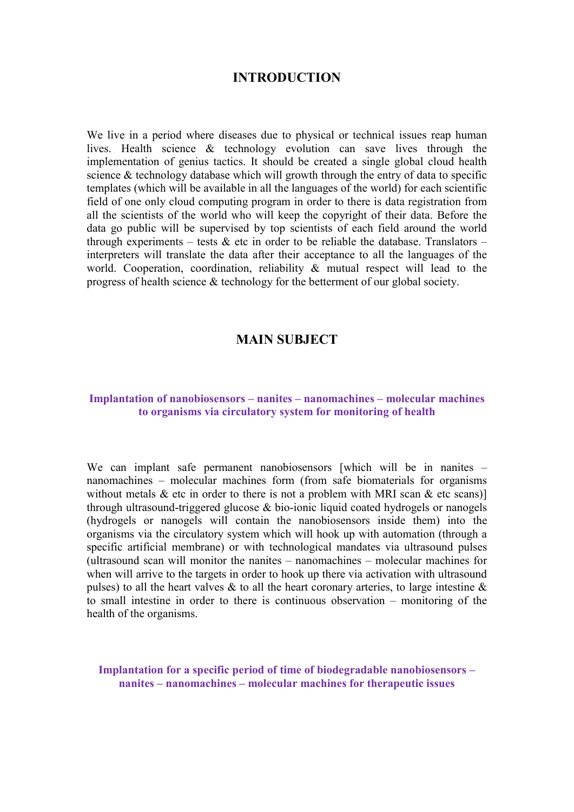## INTRODUCTION

We live in a period where diseases due to physical or technical issues reap human lives. Health science & technology evolution can save lives through the implementation of genius tactics. It should be created a single global cloud health science & technology database which will growth through the entry of data to specific templates (which will be available in all the languages of the world) for each scientific field of one only cloud computing program in order to there is data registration from all the scientists of the world who will keep the copyright of their data. Before the data go public will be supervised by top scientists of each field around the world through experiments – tests  $\&$  etc in order to be reliable the database. Translators – interpreters will translate the data after their acceptance to all the languages of the world. Cooperation, coordination, reliability & mutual respect will lead to the progress of health science & technology for the betterment of our global society.

## MAIN SUBJECT

#### Implantation of nanobiosensors – nanites – nanomachines – molecular machines to organisms via circulatory system for monitoring of health

We can implant safe permanent nanobiosensors [which will be in nanites – nanomachines – molecular machines form (from safe biomaterials for organisms without metals  $\&$  etc in order to there is not a problem with MRI scan  $\&$  etc scans)] through ultrasound-triggered glucose & bio-ionic liquid coated hydrogels or nanogels (hydrogels or nanogels will contain the nanobiosensors inside them) into the organisms via the circulatory system which will hook up with automation (through a specific artificial membrane) or with technological mandates via ultrasound pulses (ultrasound scan will monitor the nanites – nanomachines – molecular machines for when will arrive to the targets in order to hook up there via activation with ultrasound pulses) to all the heart valves & to all the heart coronary arteries, to large intestine  $\&$ to small intestine in order to there is continuous observation – monitoring of the health of the organisms.

Implantation for a specific period of time of biodegradable nanobiosensors – nanites – nanomachines – molecular machines for therapeutic issues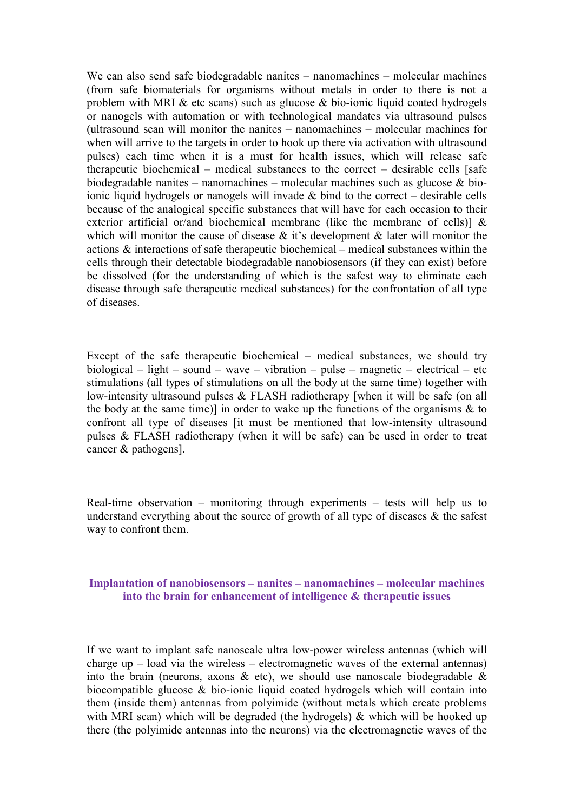We can also send safe biodegradable nanites – nanomachines – molecular machines (from safe biomaterials for organisms without metals in order to there is not a problem with MRI  $\&$  etc scans) such as glucose  $\&$  bio-ionic liquid coated hydrogels or nanogels with automation or with technological mandates via ultrasound pulses (ultrasound scan will monitor the nanites – nanomachines – molecular machines for when will arrive to the targets in order to hook up there via activation with ultrasound pulses) each time when it is a must for health issues, which will release safe therapeutic biochemical – medical substances to the correct – desirable cells [safe biodegradable nanites – nanomachines – molecular machines such as glucose & bioionic liquid hydrogels or nanogels will invade  $\&$  bind to the correct – desirable cells because of the analogical specific substances that will have for each occasion to their exterior artificial or/and biochemical membrane (like the membrane of cells)] & which will monitor the cause of disease & it's development & later will monitor the actions & interactions of safe therapeutic biochemical – medical substances within the cells through their detectable biodegradable nanobiosensors (if they can exist) before be dissolved (for the understanding of which is the safest way to eliminate each disease through safe therapeutic medical substances) for the confrontation of all type of diseases.

Except of the safe therapeutic biochemical – medical substances, we should try biological – light – sound – wave – vibration – pulse – magnetic – electrical – etc stimulations (all types of stimulations on all the body at the same time) together with low-intensity ultrasound pulses & FLASH radiotherapy [when it will be safe (on all the body at the same time)] in order to wake up the functions of the organisms  $\&$  to confront all type of diseases [it must be mentioned that low-intensity ultrasound pulses & FLASH radiotherapy (when it will be safe) can be used in order to treat cancer & pathogens].

Real-time observation – monitoring through experiments – tests will help us to understand everything about the source of growth of all type of diseases & the safest way to confront them.

#### Implantation of nanobiosensors – nanites – nanomachines – molecular machines into the brain for enhancement of intelligence & therapeutic issues

If we want to implant safe nanoscale ultra low-power wireless antennas (which will charge up  $-$  load via the wireless  $-$  electromagnetic waves of the external antennas) into the brain (neurons, axons  $\&$  etc), we should use nanoscale biodegradable  $\&$ biocompatible glucose & bio-ionic liquid coated hydrogels which will contain into them (inside them) antennas from polyimide (without metals which create problems with MRI scan) which will be degraded (the hydrogels) & which will be hooked up there (the polyimide antennas into the neurons) via the electromagnetic waves of the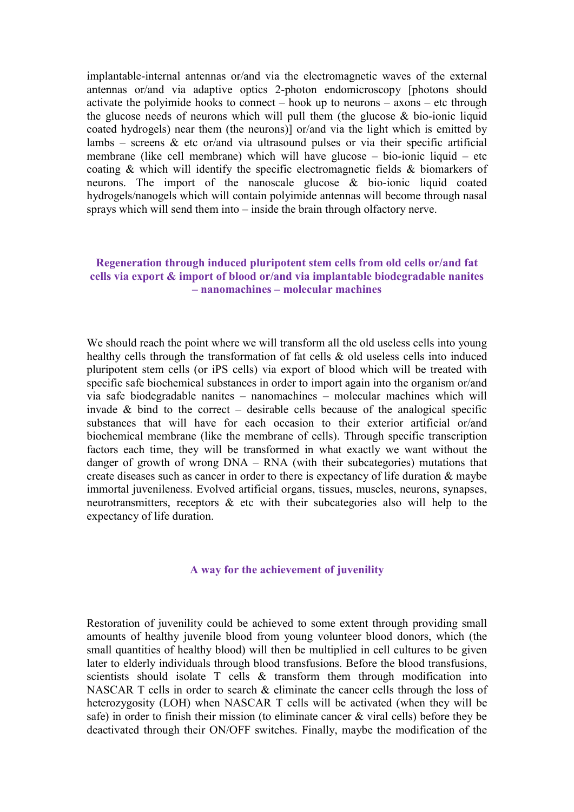implantable-internal antennas or/and via the electromagnetic waves of the external antennas or/and via adaptive optics 2-photon endomicroscopy [photons should activate the polyimide hooks to connect – hook up to neurons –  $\alpha$ xons – etc through the glucose needs of neurons which will pull them (the glucose & bio-ionic liquid coated hydrogels) near them (the neurons)] or/and via the light which is emitted by lambs – screens  $\&$  etc or/and via ultrasound pulses or via their specific artificial membrane (like cell membrane) which will have glucose – bio-ionic liquid – etc coating & which will identify the specific electromagnetic fields & biomarkers of neurons. The import of the nanoscale glucose & bio-ionic liquid coated hydrogels/nanogels which will contain polyimide antennas will become through nasal sprays which will send them into – inside the brain through olfactory nerve.

#### Regeneration through induced pluripotent stem cells from old cells or/and fat cells via export & import of blood or/and via implantable biodegradable nanites – nanomachines – molecular machines

We should reach the point where we will transform all the old useless cells into young healthy cells through the transformation of fat cells & old useless cells into induced pluripotent stem cells (or iPS cells) via export of blood which will be treated with specific safe biochemical substances in order to import again into the organism or/and via safe biodegradable nanites – nanomachines – molecular machines which will invade  $\&$  bind to the correct – desirable cells because of the analogical specific substances that will have for each occasion to their exterior artificial or/and biochemical membrane (like the membrane of cells). Through specific transcription factors each time, they will be transformed in what exactly we want without the danger of growth of wrong DNA – RNA (with their subcategories) mutations that create diseases such as cancer in order to there is expectancy of life duration & maybe immortal juvenileness. Evolved artificial organs, tissues, muscles, neurons, synapses, neurotransmitters, receptors & etc with their subcategories also will help to the expectancy of life duration.

#### A way for the achievement of juvenility

Restoration of juvenility could be achieved to some extent through providing small amounts of healthy juvenile blood from young volunteer blood donors, which (the small quantities of healthy blood) will then be multiplied in cell cultures to be given later to elderly individuals through blood transfusions. Before the blood transfusions, scientists should isolate T cells & transform them through modification into NASCAR T cells in order to search & eliminate the cancer cells through the loss of heterozygosity (LOH) when NASCAR T cells will be activated (when they will be safe) in order to finish their mission (to eliminate cancer & viral cells) before they be deactivated through their ON/OFF switches. Finally, maybe the modification of the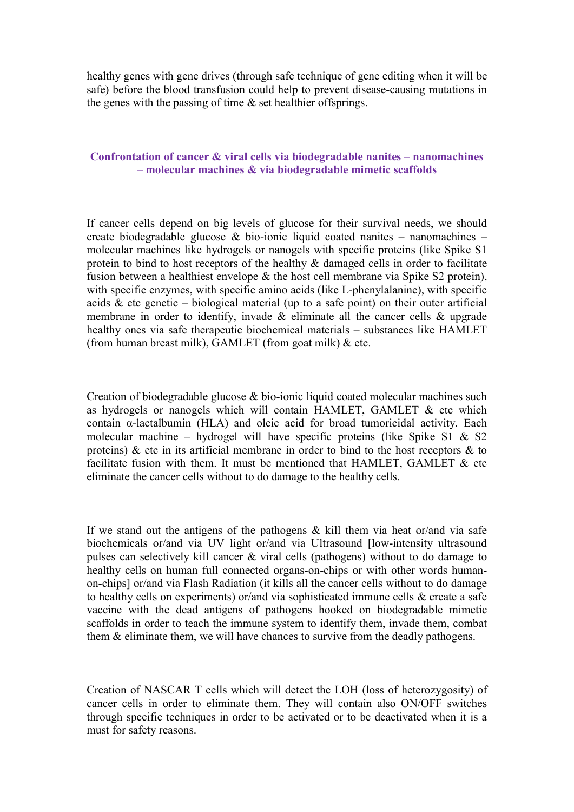healthy genes with gene drives (through safe technique of gene editing when it will be safe) before the blood transfusion could help to prevent disease-causing mutations in the genes with the passing of time  $\&$  set healthier offsprings.

#### Confrontation of cancer & viral cells via biodegradable nanites – nanomachines – molecular machines & via biodegradable mimetic scaffolds

If cancer cells depend on big levels of glucose for their survival needs, we should create biodegradable glucose & bio-ionic liquid coated nanites – nanomachines – molecular machines like hydrogels or nanogels with specific proteins (like Spike S1 protein to bind to host receptors of the healthy & damaged cells in order to facilitate fusion between a healthiest envelope & the host cell membrane via Spike S2 protein), with specific enzymes, with specific amino acids (like L-phenylalanine), with specific acids  $\&$  etc genetic – biological material (up to a safe point) on their outer artificial membrane in order to identify, invade & eliminate all the cancer cells & upgrade healthy ones via safe therapeutic biochemical materials – substances like HAMLET (from human breast milk), GAMLET (from goat milk)  $&$  etc.

Creation of biodegradable glucose & bio-ionic liquid coated molecular machines such as hydrogels or nanogels which will contain HAMLET, GAMLET  $\&$  etc which contain α-lactalbumin (HLA) and oleic acid for broad tumoricidal activity. Each molecular machine – hydrogel will have specific proteins (like Spike S1 & S2 proteins) & etc in its artificial membrane in order to bind to the host receptors & to facilitate fusion with them. It must be mentioned that HAMLET, GAMLET & etc eliminate the cancer cells without to do damage to the healthy cells.

If we stand out the antigens of the pathogens  $\&$  kill them via heat or/and via safe biochemicals or/and via UV light or/and via Ultrasound [low-intensity ultrasound pulses can selectively kill cancer & viral cells (pathogens) without to do damage to healthy cells on human full connected organs-on-chips or with other words humanon-chips] or/and via Flash Radiation (it kills all the cancer cells without to do damage to healthy cells on experiments) or/and via sophisticated immune cells & create a safe vaccine with the dead antigens of pathogens hooked on biodegradable mimetic scaffolds in order to teach the immune system to identify them, invade them, combat them & eliminate them, we will have chances to survive from the deadly pathogens.

Creation of NASCAR T cells which will detect the LOH (loss of heterozygosity) of cancer cells in order to eliminate them. They will contain also ON/OFF switches through specific techniques in order to be activated or to be deactivated when it is a must for safety reasons.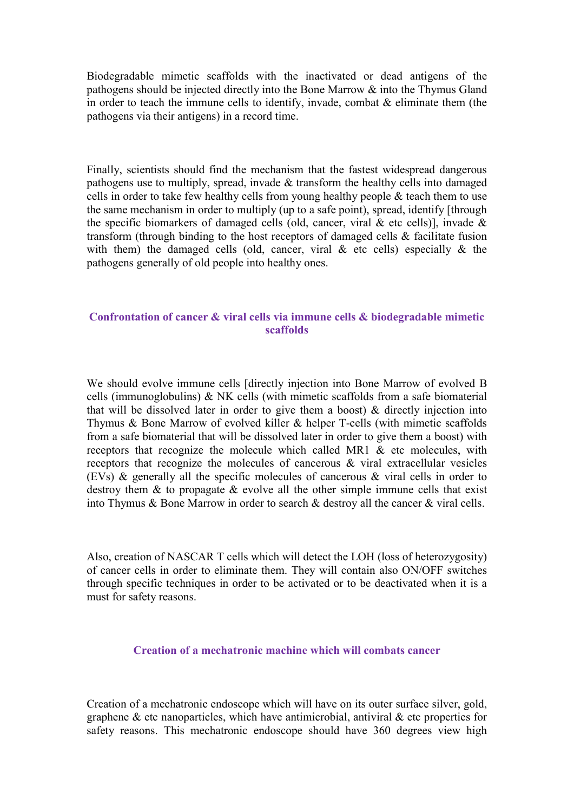Biodegradable mimetic scaffolds with the inactivated or dead antigens of the pathogens should be injected directly into the Bone Marrow & into the Thymus Gland in order to teach the immune cells to identify, invade, combat  $\&$  eliminate them (the pathogens via their antigens) in a record time.

Finally, scientists should find the mechanism that the fastest widespread dangerous pathogens use to multiply, spread, invade & transform the healthy cells into damaged cells in order to take few healthy cells from young healthy people  $\&$  teach them to use the same mechanism in order to multiply (up to a safe point), spread, identify [through the specific biomarkers of damaged cells (old, cancer, viral  $\&$  etc cells)], invade  $\&$ transform (through binding to the host receptors of damaged cells & facilitate fusion with them) the damaged cells (old, cancer, viral  $\&$  etc cells) especially  $\&$  the pathogens generally of old people into healthy ones.

## Confrontation of cancer & viral cells via immune cells & biodegradable mimetic scaffolds

We should evolve immune cells [directly injection into Bone Marrow of evolved B cells (immunoglobulins) & NK cells (with mimetic scaffolds from a safe biomaterial that will be dissolved later in order to give them a boost) & directly injection into Thymus & Bone Marrow of evolved killer & helper T-cells (with mimetic scaffolds from a safe biomaterial that will be dissolved later in order to give them a boost) with receptors that recognize the molecule which called MR1  $\&$  etc molecules, with receptors that recognize the molecules of cancerous & viral extracellular vesicles (EVs) & generally all the specific molecules of cancerous & viral cells in order to destroy them & to propagate & evolve all the other simple immune cells that exist into Thymus & Bone Marrow in order to search & destroy all the cancer & viral cells.

Also, creation of NASCAR T cells which will detect the LOH (loss of heterozygosity) of cancer cells in order to eliminate them. They will contain also ON/OFF switches through specific techniques in order to be activated or to be deactivated when it is a must for safety reasons.

### Creation of a mechatronic machine which will combats cancer

Creation of a mechatronic endoscope which will have on its outer surface silver, gold, graphene  $\&$  etc nanoparticles, which have antimicrobial, antiviral  $\&$  etc properties for safety reasons. This mechatronic endoscope should have 360 degrees view high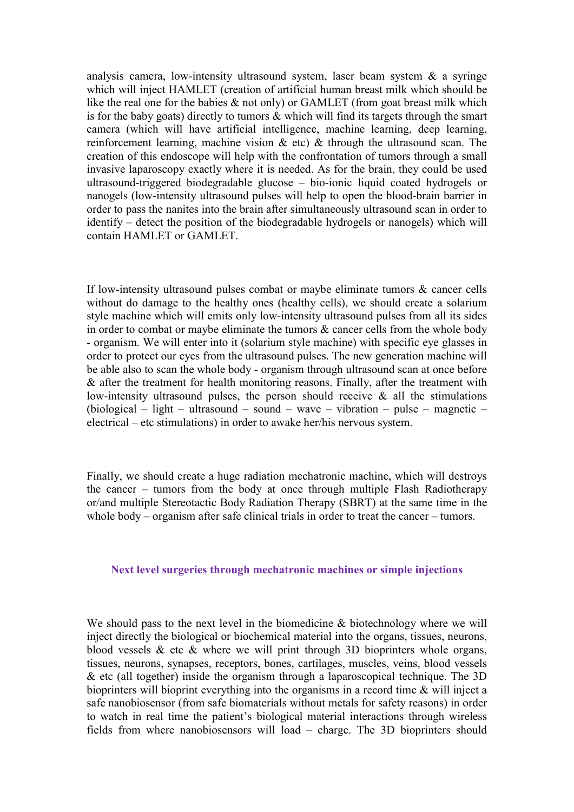analysis camera, low-intensity ultrasound system, laser beam system & a syringe which will inject HAMLET (creation of artificial human breast milk which should be like the real one for the babies & not only) or GAMLET (from goat breast milk which is for the baby goats) directly to tumors & which will find its targets through the smart camera (which will have artificial intelligence, machine learning, deep learning, reinforcement learning, machine vision  $\&$  etc)  $\&$  through the ultrasound scan. The creation of this endoscope will help with the confrontation of tumors through a small invasive laparoscopy exactly where it is needed. As for the brain, they could be used ultrasound-triggered biodegradable glucose – bio-ionic liquid coated hydrogels or nanogels (low-intensity ultrasound pulses will help to open the blood-brain barrier in order to pass the nanites into the brain after simultaneously ultrasound scan in order to identify – detect the position of the biodegradable hydrogels or nanogels) which will contain HAMLET or GAMLET.

If low-intensity ultrasound pulses combat or maybe eliminate tumors & cancer cells without do damage to the healthy ones (healthy cells), we should create a solarium style machine which will emits only low-intensity ultrasound pulses from all its sides in order to combat or maybe eliminate the tumors & cancer cells from the whole body - organism. We will enter into it (solarium style machine) with specific eye glasses in order to protect our eyes from the ultrasound pulses. The new generation machine will be able also to scan the whole body - organism through ultrasound scan at once before & after the treatment for health monitoring reasons. Finally, after the treatment with low-intensity ultrasound pulses, the person should receive & all the stimulations (biological – light – ultrasound – sound – wave – vibration – pulse – magnetic – electrical – etc stimulations) in order to awake her/his nervous system.

Finally, we should create a huge radiation mechatronic machine, which will destroys the cancer – tumors from the body at once through multiple Flash Radiotherapy or/and multiple Stereotactic Body Radiation Therapy (SBRT) at the same time in the whole body – organism after safe clinical trials in order to treat the cancer – tumors.

#### Next level surgeries through mechatronic machines or simple injections

We should pass to the next level in the biomedicine & biotechnology where we will inject directly the biological or biochemical material into the organs, tissues, neurons, blood vessels  $\&$  etc  $\&$  where we will print through 3D bioprinters whole organs, tissues, neurons, synapses, receptors, bones, cartilages, muscles, veins, blood vessels & etc (all together) inside the organism through a laparoscopical technique. The 3D bioprinters will bioprint everything into the organisms in a record time & will inject a safe nanobiosensor (from safe biomaterials without metals for safety reasons) in order to watch in real time the patient's biological material interactions through wireless fields from where nanobiosensors will load – charge. The 3D bioprinters should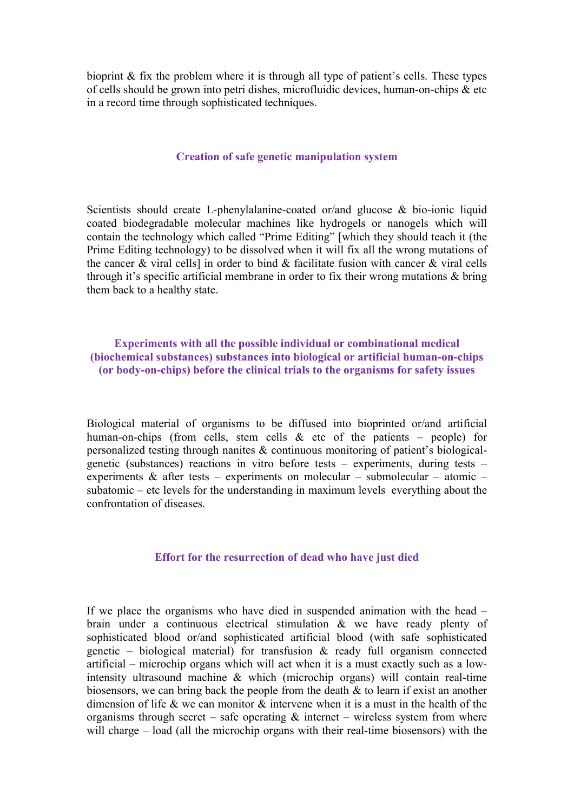bioprint & fix the problem where it is through all type of patient's cells. These types of cells should be grown into petri dishes, microfluidic devices, human-on-chips & etc in a record time through sophisticated techniques.

#### Creation of safe genetic manipulation system

Scientists should create L-phenylalanine-coated or/and glucose & bio-ionic liquid coated biodegradable molecular machines like hydrogels or nanogels which will contain the technology which called "Prime Editing" [which they should teach it (the Prime Editing technology) to be dissolved when it will fix all the wrong mutations of the cancer & viral cells] in order to bind & facilitate fusion with cancer & viral cells through it's specific artificial membrane in order to fix their wrong mutations & bring them back to a healthy state.

Experiments with all the possible individual or combinational medical (biochemical substances) substances into biological or artificial human-on-chips (or body-on-chips) before the clinical trials to the organisms for safety issues

Biological material of organisms to be diffused into bioprinted or/and artificial human-on-chips (from cells, stem cells  $\&$  etc of the patients – people) for personalized testing through nanites & continuous monitoring of patient's biologicalgenetic (substances) reactions in vitro before tests – experiments, during tests – experiments & after tests – experiments on molecular – submolecular – atomic – subatomic – etc levels for the understanding in maximum levels everything about the confrontation of diseases.

#### Effort for the resurrection of dead who have just died

If we place the organisms who have died in suspended animation with the head – brain under a continuous electrical stimulation & we have ready plenty of sophisticated blood or/and sophisticated artificial blood (with safe sophisticated genetic – biological material) for transfusion & ready full organism connected artificial – microchip organs which will act when it is a must exactly such as a lowintensity ultrasound machine & which (microchip organs) will contain real-time biosensors, we can bring back the people from the death & to learn if exist an another dimension of life & we can monitor & intervene when it is a must in the health of the organisms through secret – safe operating  $\&$  internet – wireless system from where will charge – load (all the microchip organs with their real-time biosensors) with the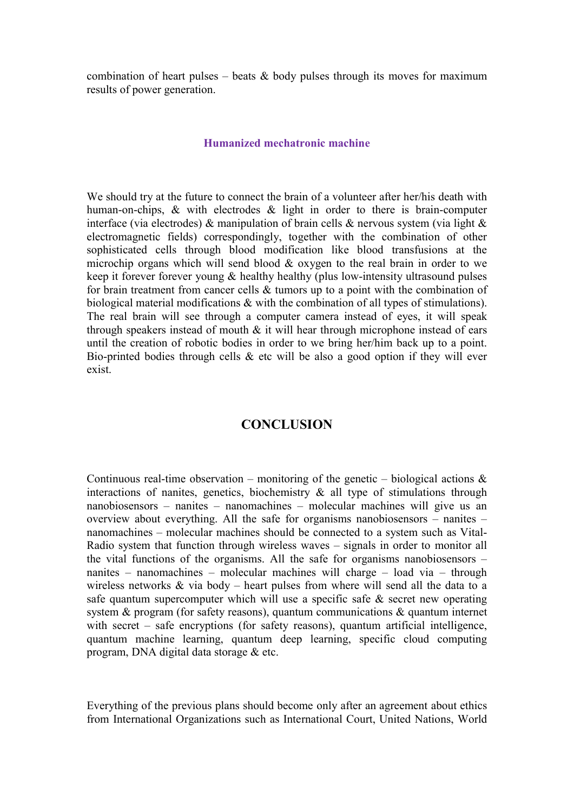combination of heart pulses – beats  $\&$  body pulses through its moves for maximum results of power generation.

#### Humanized mechatronic machine

We should try at the future to connect the brain of a volunteer after her/his death with human-on-chips, & with electrodes & light in order to there is brain-computer interface (via electrodes) & manipulation of brain cells & nervous system (via light & electromagnetic fields) correspondingly, together with the combination of other sophisticated cells through blood modification like blood transfusions at the microchip organs which will send blood & oxygen to the real brain in order to we keep it forever forever young & healthy healthy (plus low-intensity ultrasound pulses for brain treatment from cancer cells & tumors up to a point with the combination of biological material modifications & with the combination of all types of stimulations). The real brain will see through a computer camera instead of eyes, it will speak through speakers instead of mouth  $\&$  it will hear through microphone instead of ears until the creation of robotic bodies in order to we bring her/him back up to a point. Bio-printed bodies through cells  $\&$  etc will be also a good option if they will ever exist.

## **CONCLUSION**

Continuous real-time observation – monitoring of the genetic – biological actions  $\&$ interactions of nanites, genetics, biochemistry & all type of stimulations through nanobiosensors – nanites – nanomachines – molecular machines will give us an overview about everything. All the safe for organisms nanobiosensors – nanites – nanomachines – molecular machines should be connected to a system such as Vital-Radio system that function through wireless waves – signals in order to monitor all the vital functions of the organisms. All the safe for organisms nanobiosensors – nanites – nanomachines – molecular machines will charge – load via – through wireless networks  $\&$  via body – heart pulses from where will send all the data to a safe quantum supercomputer which will use a specific safe  $\&$  secret new operating system & program (for safety reasons), quantum communications & quantum internet with secret – safe encryptions (for safety reasons), quantum artificial intelligence, quantum machine learning, quantum deep learning, specific cloud computing program, DNA digital data storage & etc.

Everything of the previous plans should become only after an agreement about ethics from International Organizations such as International Court, United Nations, World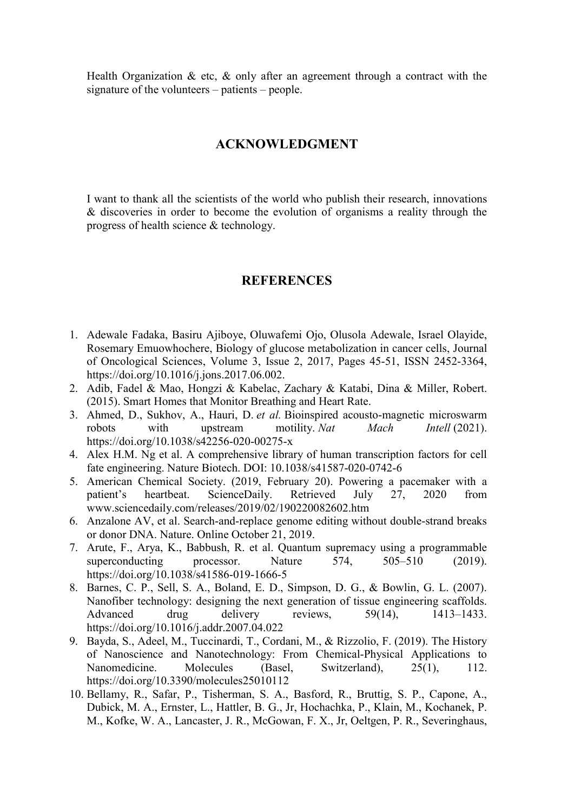Health Organization  $\&$  etc,  $\&$  only after an agreement through a contract with the signature of the volunteers – patients – people.

## ACKNOWLEDGMENT

I want to thank all the scientists of the world who publish their research, innovations & discoveries in order to become the evolution of organisms a reality through the progress of health science & technology.

## **REFERENCES**

- 1. Adewale Fadaka, Basiru Ajiboye, Oluwafemi Ojo, Olusola Adewale, Israel Olayide, Rosemary Emuowhochere, Biology of glucose metabolization in cancer cells, Journal of Oncological Sciences, Volume 3, Issue 2, 2017, Pages 45-51, ISSN 2452-3364, https://doi.org/10.1016/j.jons.2017.06.002.
- 2. Adib, Fadel & Mao, Hongzi & Kabelac, Zachary & Katabi, Dina & Miller, Robert. (2015). Smart Homes that Monitor Breathing and Heart Rate.
- 3. Ahmed, D., Sukhov, A., Hauri, D. et al. Bioinspired acousto-magnetic microswarm robots with upstream motility. Nat Mach Intell (2021). https://doi.org/10.1038/s42256-020-00275-x
- 4. Alex H.M. Ng et al. A comprehensive library of human transcription factors for cell fate engineering. Nature Biotech. DOI: 10.1038/s41587-020-0742-6
- 5. American Chemical Society. (2019, February 20). Powering a pacemaker with a patient's heartbeat. ScienceDaily. Retrieved July 27, 2020 from www.sciencedaily.com/releases/2019/02/190220082602.htm
- 6. Anzalone AV, et al. Search-and-replace genome editing without double-strand breaks or donor DNA. Nature. Online October 21, 2019.
- 7. Arute, F., Arya, K., Babbush, R. et al. Quantum supremacy using a programmable superconducting processor. Nature 574, 505–510 (2019). https://doi.org/10.1038/s41586-019-1666-5
- 8. Barnes, C. P., Sell, S. A., Boland, E. D., Simpson, D. G., & Bowlin, G. L. (2007). Nanofiber technology: designing the next generation of tissue engineering scaffolds. Advanced drug delivery reviews, 59(14), 1413–1433. https://doi.org/10.1016/j.addr.2007.04.022
- 9. Bayda, S., Adeel, M., Tuccinardi, T., Cordani, M., & Rizzolio, F. (2019). The History of Nanoscience and Nanotechnology: From Chemical-Physical Applications to Nanomedicine. Molecules (Basel, Switzerland), 25(1), 112. https://doi.org/10.3390/molecules25010112
- 10. Bellamy, R., Safar, P., Tisherman, S. A., Basford, R., Bruttig, S. P., Capone, A., Dubick, M. A., Ernster, L., Hattler, B. G., Jr, Hochachka, P., Klain, M., Kochanek, P. M., Kofke, W. A., Lancaster, J. R., McGowan, F. X., Jr, Oeltgen, P. R., Severinghaus,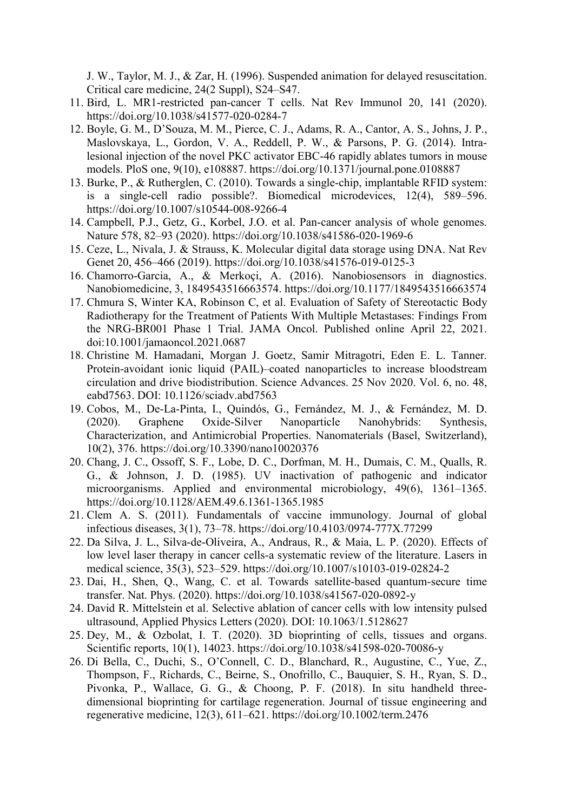J. W., Taylor, M. J., & Zar, H. (1996). Suspended animation for delayed resuscitation. Critical care medicine, 24(2 Suppl), S24–S47.

- 11. Bird, L. MR1-restricted pan-cancer T cells. Nat Rev Immunol 20, 141 (2020). https://doi.org/10.1038/s41577-020-0284-7
- 12. Boyle, G. M., D'Souza, M. M., Pierce, C. J., Adams, R. A., Cantor, A. S., Johns, J. P., Maslovskaya, L., Gordon, V. A., Reddell, P. W., & Parsons, P. G. (2014). Intralesional injection of the novel PKC activator EBC-46 rapidly ablates tumors in mouse models. PloS one, 9(10), e108887. https://doi.org/10.1371/journal.pone.0108887
- 13. Burke, P., & Rutherglen, C. (2010). Towards a single-chip, implantable RFID system: is a single-cell radio possible?. Biomedical microdevices, 12(4), 589–596. https://doi.org/10.1007/s10544-008-9266-4
- 14. Campbell, P.J., Getz, G., Korbel, J.O. et al. Pan-cancer analysis of whole genomes. Nature 578, 82–93 (2020). https://doi.org/10.1038/s41586-020-1969-6
- 15. Ceze, L., Nivala, J. & Strauss, K. Molecular digital data storage using DNA. Nat Rev Genet 20, 456–466 (2019). https://doi.org/10.1038/s41576-019-0125-3
- 16. Chamorro-Garcia, A., & Merkoçi, A. (2016). Nanobiosensors in diagnostics. Nanobiomedicine, 3, 1849543516663574. https://doi.org/10.1177/1849543516663574
- 17. Chmura S, Winter KA, Robinson C, et al. Evaluation of Safety of Stereotactic Body Radiotherapy for the Treatment of Patients With Multiple Metastases: Findings From the NRG-BR001 Phase 1 Trial. JAMA Oncol. Published online April 22, 2021. doi:10.1001/jamaoncol.2021.0687
- 18. Christine M. Hamadani, Morgan J. Goetz, Samir Mitragotri, Eden E. L. Tanner. Protein-avoidant ionic liquid (PAIL)–coated nanoparticles to increase bloodstream circulation and drive biodistribution. Science Advances. 25 Nov 2020. Vol. 6, no. 48, eabd7563. DOI: 10.1126/sciadv.abd7563
- 19. Cobos, M., De-La-Pinta, I., Quindós, G., Fernández, M. J., & Fernández, M. D. (2020). Graphene Oxide-Silver Nanoparticle Nanohybrids: Synthesis, Characterization, and Antimicrobial Properties. Nanomaterials (Basel, Switzerland), 10(2), 376. https://doi.org/10.3390/nano10020376
- 20. Chang, J. C., Ossoff, S. F., Lobe, D. C., Dorfman, M. H., Dumais, C. M., Qualls, R. G., & Johnson, J. D. (1985). UV inactivation of pathogenic and indicator microorganisms. Applied and environmental microbiology, 49(6), 1361–1365. https://doi.org/10.1128/AEM.49.6.1361-1365.1985
- 21. Clem A. S. (2011). Fundamentals of vaccine immunology. Journal of global infectious diseases, 3(1), 73–78. https://doi.org/10.4103/0974-777X.77299
- 22. Da Silva, J. L., Silva-de-Oliveira, A., Andraus, R., & Maia, L. P. (2020). Effects of low level laser therapy in cancer cells-a systematic review of the literature. Lasers in medical science, 35(3), 523–529. https://doi.org/10.1007/s10103-019-02824-2
- 23. Dai, H., Shen, Q., Wang, C. et al. Towards satellite-based quantum-secure time transfer. Nat. Phys. (2020). https://doi.org/10.1038/s41567-020-0892-y
- 24. David R. Mittelstein et al. Selective ablation of cancer cells with low intensity pulsed ultrasound, Applied Physics Letters (2020). DOI: 10.1063/1.5128627
- 25. Dey, M., & Ozbolat, I. T. (2020). 3D bioprinting of cells, tissues and organs. Scientific reports, 10(1), 14023. https://doi.org/10.1038/s41598-020-70086-y
- 26. Di Bella, C., Duchi, S., O'Connell, C. D., Blanchard, R., Augustine, C., Yue, Z., Thompson, F., Richards, C., Beirne, S., Onofrillo, C., Bauquier, S. H., Ryan, S. D., Pivonka, P., Wallace, G. G., & Choong, P. F. (2018). In situ handheld threedimensional bioprinting for cartilage regeneration. Journal of tissue engineering and regenerative medicine, 12(3), 611–621. https://doi.org/10.1002/term.2476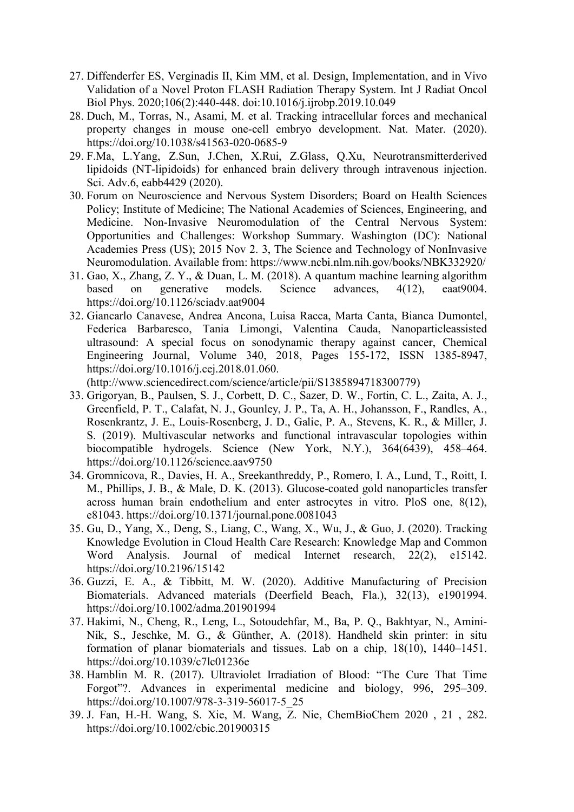- 27. Diffenderfer ES, Verginadis II, Kim MM, et al. Design, Implementation, and in Vivo Validation of a Novel Proton FLASH Radiation Therapy System. Int J Radiat Oncol Biol Phys. 2020;106(2):440-448. doi:10.1016/j.ijrobp.2019.10.049
- 28. Duch, M., Torras, N., Asami, M. et al. Tracking intracellular forces and mechanical property changes in mouse one-cell embryo development. Nat. Mater. (2020). https://doi.org/10.1038/s41563-020-0685-9
- 29. F.Ma, L.Yang, Z.Sun, J.Chen, X.Rui, Z.Glass, Q.Xu, Neurotransmitterderived lipidoids (NT-lipidoids) for enhanced brain delivery through intravenous injection. Sci. Adv.6, eabb4429 (2020).
- 30. Forum on Neuroscience and Nervous System Disorders; Board on Health Sciences Policy; Institute of Medicine; The National Academies of Sciences, Engineering, and Medicine. Non-Invasive Neuromodulation of the Central Nervous System: Opportunities and Challenges: Workshop Summary. Washington (DC): National Academies Press (US); 2015 Nov 2. 3, The Science and Technology of NonInvasive Neuromodulation. Available from: https://www.ncbi.nlm.nih.gov/books/NBK332920/
- 31. Gao, X., Zhang, Z. Y., & Duan, L. M. (2018). A quantum machine learning algorithm based on generative models. Science advances, 4(12), eaat9004. https://doi.org/10.1126/sciadv.aat9004
- 32. Giancarlo Canavese, Andrea Ancona, Luisa Racca, Marta Canta, Bianca Dumontel, Federica Barbaresco, Tania Limongi, Valentina Cauda, Nanoparticleassisted ultrasound: A special focus on sonodynamic therapy against cancer, Chemical Engineering Journal, Volume 340, 2018, Pages 155-172, ISSN 1385-8947, https://doi.org/10.1016/j.cej.2018.01.060.

(http://www.sciencedirect.com/science/article/pii/S1385894718300779)

- 33. Grigoryan, B., Paulsen, S. J., Corbett, D. C., Sazer, D. W., Fortin, C. L., Zaita, A. J., Greenfield, P. T., Calafat, N. J., Gounley, J. P., Ta, A. H., Johansson, F., Randles, A., Rosenkrantz, J. E., Louis-Rosenberg, J. D., Galie, P. A., Stevens, K. R., & Miller, J. S. (2019). Multivascular networks and functional intravascular topologies within biocompatible hydrogels. Science (New York, N.Y.), 364(6439), 458–464. https://doi.org/10.1126/science.aav9750
- 34. Gromnicova, R., Davies, H. A., Sreekanthreddy, P., Romero, I. A., Lund, T., Roitt, I. M., Phillips, J. B., & Male, D. K. (2013). Glucose-coated gold nanoparticles transfer across human brain endothelium and enter astrocytes in vitro. PloS one, 8(12), e81043. https://doi.org/10.1371/journal.pone.0081043
- 35. Gu, D., Yang, X., Deng, S., Liang, C., Wang, X., Wu, J., & Guo, J. (2020). Tracking Knowledge Evolution in Cloud Health Care Research: Knowledge Map and Common Word Analysis. Journal of medical Internet research, 22(2), e15142. https://doi.org/10.2196/15142
- 36. Guzzi, E. A., & Tibbitt, M. W. (2020). Additive Manufacturing of Precision Biomaterials. Advanced materials (Deerfield Beach, Fla.), 32(13), e1901994. https://doi.org/10.1002/adma.201901994
- 37. Hakimi, N., Cheng, R., Leng, L., Sotoudehfar, M., Ba, P. Q., Bakhtyar, N., Amini-Nik, S., Jeschke, M. G., & Günther, A. (2018). Handheld skin printer: in situ formation of planar biomaterials and tissues. Lab on a chip, 18(10), 1440–1451. https://doi.org/10.1039/c7lc01236e
- 38. Hamblin M. R. (2017). Ultraviolet Irradiation of Blood: "The Cure That Time Forgot"?. Advances in experimental medicine and biology, 996, 295–309. https://doi.org/10.1007/978-3-319-56017-5\_25
- 39. J. Fan, H.-H. Wang, S. Xie, M. Wang, Z. Nie, ChemBioChem 2020 , 21 , 282. https://doi.org/10.1002/cbic.201900315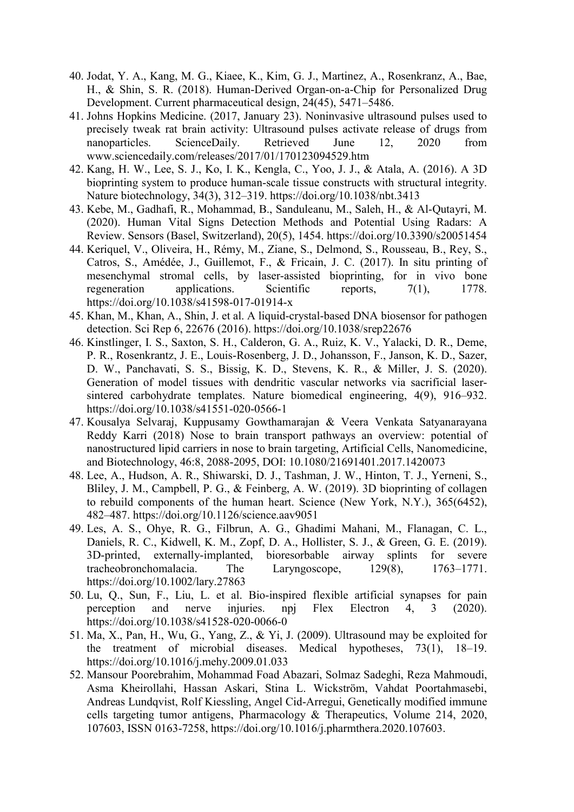- 40. Jodat, Y. A., Kang, M. G., Kiaee, K., Kim, G. J., Martinez, A., Rosenkranz, A., Bae, H., & Shin, S. R. (2018). Human-Derived Organ-on-a-Chip for Personalized Drug Development. Current pharmaceutical design, 24(45), 5471–5486.
- 41. Johns Hopkins Medicine. (2017, January 23). Noninvasive ultrasound pulses used to precisely tweak rat brain activity: Ultrasound pulses activate release of drugs from nanoparticles. ScienceDaily. Retrieved June 12, 2020 from www.sciencedaily.com/releases/2017/01/170123094529.htm
- 42. Kang, H. W., Lee, S. J., Ko, I. K., Kengla, C., Yoo, J. J., & Atala, A. (2016). A 3D bioprinting system to produce human-scale tissue constructs with structural integrity. Nature biotechnology, 34(3), 312–319. https://doi.org/10.1038/nbt.3413
- 43. Kebe, M., Gadhafi, R., Mohammad, B., Sanduleanu, M., Saleh, H., & Al-Qutayri, M. (2020). Human Vital Signs Detection Methods and Potential Using Radars: A Review. Sensors (Basel, Switzerland), 20(5), 1454. https://doi.org/10.3390/s20051454
- 44. Keriquel, V., Oliveira, H., Rémy, M., Ziane, S., Delmond, S., Rousseau, B., Rey, S., Catros, S., Amédée, J., Guillemot, F., & Fricain, J. C. (2017). In situ printing of mesenchymal stromal cells, by laser-assisted bioprinting, for in vivo bone regeneration applications. Scientific reports, 7(1), 1778. https://doi.org/10.1038/s41598-017-01914-x
- 45. Khan, M., Khan, A., Shin, J. et al. A liquid-crystal-based DNA biosensor for pathogen detection. Sci Rep 6, 22676 (2016). https://doi.org/10.1038/srep22676
- 46. Kinstlinger, I. S., Saxton, S. H., Calderon, G. A., Ruiz, K. V., Yalacki, D. R., Deme, P. R., Rosenkrantz, J. E., Louis-Rosenberg, J. D., Johansson, F., Janson, K. D., Sazer, D. W., Panchavati, S. S., Bissig, K. D., Stevens, K. R., & Miller, J. S. (2020). Generation of model tissues with dendritic vascular networks via sacrificial lasersintered carbohydrate templates. Nature biomedical engineering, 4(9), 916–932. https://doi.org/10.1038/s41551-020-0566-1
- 47. Kousalya Selvaraj, Kuppusamy Gowthamarajan & Veera Venkata Satyanarayana Reddy Karri (2018) Nose to brain transport pathways an overview: potential of nanostructured lipid carriers in nose to brain targeting, Artificial Cells, Nanomedicine, and Biotechnology, 46:8, 2088-2095, DOI: 10.1080/21691401.2017.1420073
- 48. Lee, A., Hudson, A. R., Shiwarski, D. J., Tashman, J. W., Hinton, T. J., Yerneni, S., Bliley, J. M., Campbell, P. G., & Feinberg, A. W. (2019). 3D bioprinting of collagen to rebuild components of the human heart. Science (New York, N.Y.), 365(6452), 482–487. https://doi.org/10.1126/science.aav9051
- 49. Les, A. S., Ohye, R. G., Filbrun, A. G., Ghadimi Mahani, M., Flanagan, C. L., Daniels, R. C., Kidwell, K. M., Zopf, D. A., Hollister, S. J., & Green, G. E. (2019). 3D-printed, externally-implanted, bioresorbable airway splints for severe tracheobronchomalacia. The Laryngoscope, 129(8), 1763–1771. https://doi.org/10.1002/lary.27863
- 50. Lu, Q., Sun, F., Liu, L. et al. Bio-inspired flexible artificial synapses for pain perception and nerve injuries. npj Flex Electron 4, 3 (2020). https://doi.org/10.1038/s41528-020-0066-0
- 51. Ma, X., Pan, H., Wu, G., Yang, Z., & Yi, J. (2009). Ultrasound may be exploited for the treatment of microbial diseases. Medical hypotheses, 73(1), 18–19. https://doi.org/10.1016/j.mehy.2009.01.033
- 52. Mansour Poorebrahim, Mohammad Foad Abazari, Solmaz Sadeghi, Reza Mahmoudi, Asma Kheirollahi, Hassan Askari, Stina L. Wickström, Vahdat Poortahmasebi, Andreas Lundqvist, Rolf Kiessling, Angel Cid-Arregui, Genetically modified immune cells targeting tumor antigens, Pharmacology & Therapeutics, Volume 214, 2020, 107603, ISSN 0163-7258, https://doi.org/10.1016/j.pharmthera.2020.107603.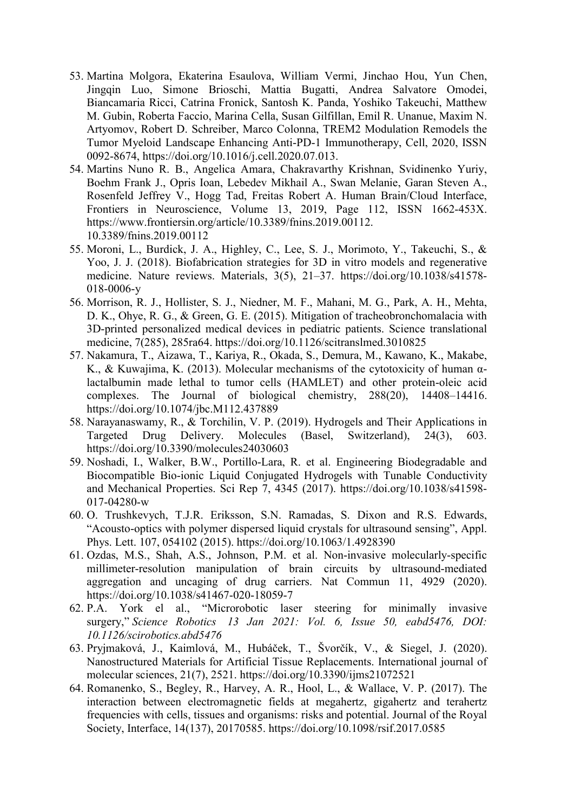- 53. Martina Molgora, Ekaterina Esaulova, William Vermi, Jinchao Hou, Yun Chen, Jingqin Luo, Simone Brioschi, Mattia Bugatti, Andrea Salvatore Omodei, Biancamaria Ricci, Catrina Fronick, Santosh K. Panda, Yoshiko Takeuchi, Matthew M. Gubin, Roberta Faccio, Marina Cella, Susan Gilfillan, Emil R. Unanue, Maxim N. Artyomov, Robert D. Schreiber, Marco Colonna, TREM2 Modulation Remodels the Tumor Myeloid Landscape Enhancing Anti-PD-1 Immunotherapy, Cell, 2020, ISSN 0092-8674, https://doi.org/10.1016/j.cell.2020.07.013.
- 54. Martins Nuno R. B., Angelica Amara, Chakravarthy Krishnan, Svidinenko Yuriy, Boehm Frank J., Opris Ioan, Lebedev Mikhail A., Swan Melanie, Garan Steven A., Rosenfeld Jeffrey V., Hogg Tad, Freitas Robert A. Human Brain/Cloud Interface, Frontiers in Neuroscience, Volume 13, 2019, Page 112, ISSN 1662-453X. https://www.frontiersin.org/article/10.3389/fnins.2019.00112. 10.3389/fnins.2019.00112
- 55. Moroni, L., Burdick, J. A., Highley, C., Lee, S. J., Morimoto, Y., Takeuchi, S., & Yoo, J. J. (2018). Biofabrication strategies for 3D in vitro models and regenerative medicine. Nature reviews. Materials, 3(5), 21–37. https://doi.org/10.1038/s41578- 018-0006-y
- 56. Morrison, R. J., Hollister, S. J., Niedner, M. F., Mahani, M. G., Park, A. H., Mehta, D. K., Ohye, R. G., & Green, G. E. (2015). Mitigation of tracheobronchomalacia with 3D-printed personalized medical devices in pediatric patients. Science translational medicine, 7(285), 285ra64. https://doi.org/10.1126/scitranslmed.3010825
- 57. Nakamura, T., Aizawa, T., Kariya, R., Okada, S., Demura, M., Kawano, K., Makabe, K., & Kuwajima, K. (2013). Molecular mechanisms of the cytotoxicity of human αlactalbumin made lethal to tumor cells (HAMLET) and other protein-oleic acid complexes. The Journal of biological chemistry, 288(20), 14408–14416. https://doi.org/10.1074/jbc.M112.437889
- 58. Narayanaswamy, R., & Torchilin, V. P. (2019). Hydrogels and Their Applications in Targeted Drug Delivery. Molecules (Basel, Switzerland), 24(3), 603. https://doi.org/10.3390/molecules24030603
- 59. Noshadi, I., Walker, B.W., Portillo-Lara, R. et al. Engineering Biodegradable and Biocompatible Bio-ionic Liquid Conjugated Hydrogels with Tunable Conductivity and Mechanical Properties. Sci Rep 7, 4345 (2017). https://doi.org/10.1038/s41598- 017-04280-w
- 60. O. Trushkevych, T.J.R. Eriksson, S.N. Ramadas, S. Dixon and R.S. Edwards, "Acousto-optics with polymer dispersed liquid crystals for ultrasound sensing", Appl. Phys. Lett. 107, 054102 (2015). https://doi.org/10.1063/1.4928390
- 61. Ozdas, M.S., Shah, A.S., Johnson, P.M. et al. Non-invasive molecularly-specific millimeter-resolution manipulation of brain circuits by ultrasound-mediated aggregation and uncaging of drug carriers. Nat Commun 11, 4929 (2020). https://doi.org/10.1038/s41467-020-18059-7
- 62. P.A. York el al., "Microrobotic laser steering for minimally invasive surgery," Science Robotics 13 Jan 2021: Vol. 6, Issue 50, eabd5476, DOI: 10.1126/scirobotics.abd5476
- 63. Pryjmaková, J., Kaimlová, M., Hubáček, T., Švorčík, V., & Siegel, J. (2020). Nanostructured Materials for Artificial Tissue Replacements. International journal of molecular sciences, 21(7), 2521. https://doi.org/10.3390/ijms21072521
- 64. Romanenko, S., Begley, R., Harvey, A. R., Hool, L., & Wallace, V. P. (2017). The interaction between electromagnetic fields at megahertz, gigahertz and terahertz frequencies with cells, tissues and organisms: risks and potential. Journal of the Royal Society, Interface, 14(137), 20170585. https://doi.org/10.1098/rsif.2017.0585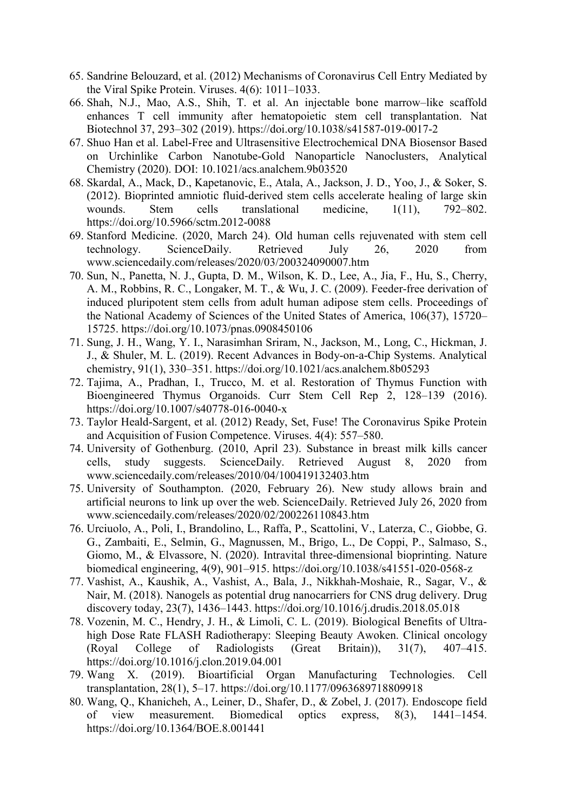- 65. Sandrine Belouzard, et al. (2012) Mechanisms of Coronavirus Cell Entry Mediated by the Viral Spike Protein. Viruses. 4(6): 1011–1033.
- 66. Shah, N.J., Mao, A.S., Shih, T. et al. An injectable bone marrow–like scaffold enhances T cell immunity after hematopoietic stem cell transplantation. Nat Biotechnol 37, 293–302 (2019). https://doi.org/10.1038/s41587-019-0017-2
- 67. Shuo Han et al. Label-Free and Ultrasensitive Electrochemical DNA Biosensor Based on Urchinlike Carbon Nanotube-Gold Nanoparticle Nanoclusters, Analytical Chemistry (2020). DOI: 10.1021/acs.analchem.9b03520
- 68. Skardal, A., Mack, D., Kapetanovic, E., Atala, A., Jackson, J. D., Yoo, J., & Soker, S. (2012). Bioprinted amniotic fluid-derived stem cells accelerate healing of large skin wounds. Stem cells translational medicine,  $1(11)$ , 792–802. https://doi.org/10.5966/sctm.2012-0088
- 69. Stanford Medicine. (2020, March 24). Old human cells rejuvenated with stem cell technology. ScienceDaily. Retrieved July 26, 2020 from www.sciencedaily.com/releases/2020/03/200324090007.htm
- 70. Sun, N., Panetta, N. J., Gupta, D. M., Wilson, K. D., Lee, A., Jia, F., Hu, S., Cherry, A. M., Robbins, R. C., Longaker, M. T., & Wu, J. C. (2009). Feeder-free derivation of induced pluripotent stem cells from adult human adipose stem cells. Proceedings of the National Academy of Sciences of the United States of America, 106(37), 15720– 15725. https://doi.org/10.1073/pnas.0908450106
- 71. Sung, J. H., Wang, Y. I., Narasimhan Sriram, N., Jackson, M., Long, C., Hickman, J. J., & Shuler, M. L. (2019). Recent Advances in Body-on-a-Chip Systems. Analytical chemistry, 91(1), 330–351. https://doi.org/10.1021/acs.analchem.8b05293
- 72. Tajima, A., Pradhan, I., Trucco, M. et al. Restoration of Thymus Function with Bioengineered Thymus Organoids. Curr Stem Cell Rep 2, 128–139 (2016). https://doi.org/10.1007/s40778-016-0040-x
- 73. Taylor Heald-Sargent, et al. (2012) Ready, Set, Fuse! The Coronavirus Spike Protein and Acquisition of Fusion Competence. Viruses. 4(4): 557–580.
- 74. University of Gothenburg. (2010, April 23). Substance in breast milk kills cancer cells, study suggests. ScienceDaily. Retrieved August 8, 2020 from www.sciencedaily.com/releases/2010/04/100419132403.htm
- 75. University of Southampton. (2020, February 26). New study allows brain and artificial neurons to link up over the web. ScienceDaily. Retrieved July 26, 2020 from www.sciencedaily.com/releases/2020/02/200226110843.htm
- 76. Urciuolo, A., Poli, I., Brandolino, L., Raffa, P., Scattolini, V., Laterza, C., Giobbe, G. G., Zambaiti, E., Selmin, G., Magnussen, M., Brigo, L., De Coppi, P., Salmaso, S., Giomo, M., & Elvassore, N. (2020). Intravital three-dimensional bioprinting. Nature biomedical engineering, 4(9), 901–915. https://doi.org/10.1038/s41551-020-0568-z
- 77. Vashist, A., Kaushik, A., Vashist, A., Bala, J., Nikkhah-Moshaie, R., Sagar, V., & Nair, M. (2018). Nanogels as potential drug nanocarriers for CNS drug delivery. Drug discovery today, 23(7), 1436–1443. https://doi.org/10.1016/j.drudis.2018.05.018
- 78. Vozenin, M. C., Hendry, J. H., & Limoli, C. L. (2019). Biological Benefits of Ultrahigh Dose Rate FLASH Radiotherapy: Sleeping Beauty Awoken. Clinical oncology (Royal College of Radiologists (Great Britain)), 31(7), 407–415. https://doi.org/10.1016/j.clon.2019.04.001
- 79. Wang X. (2019). Bioartificial Organ Manufacturing Technologies. Cell transplantation, 28(1), 5–17. https://doi.org/10.1177/0963689718809918
- 80. Wang, Q., Khanicheh, A., Leiner, D., Shafer, D., & Zobel, J. (2017). Endoscope field of view measurement. Biomedical optics express, 8(3), 1441–1454. https://doi.org/10.1364/BOE.8.001441